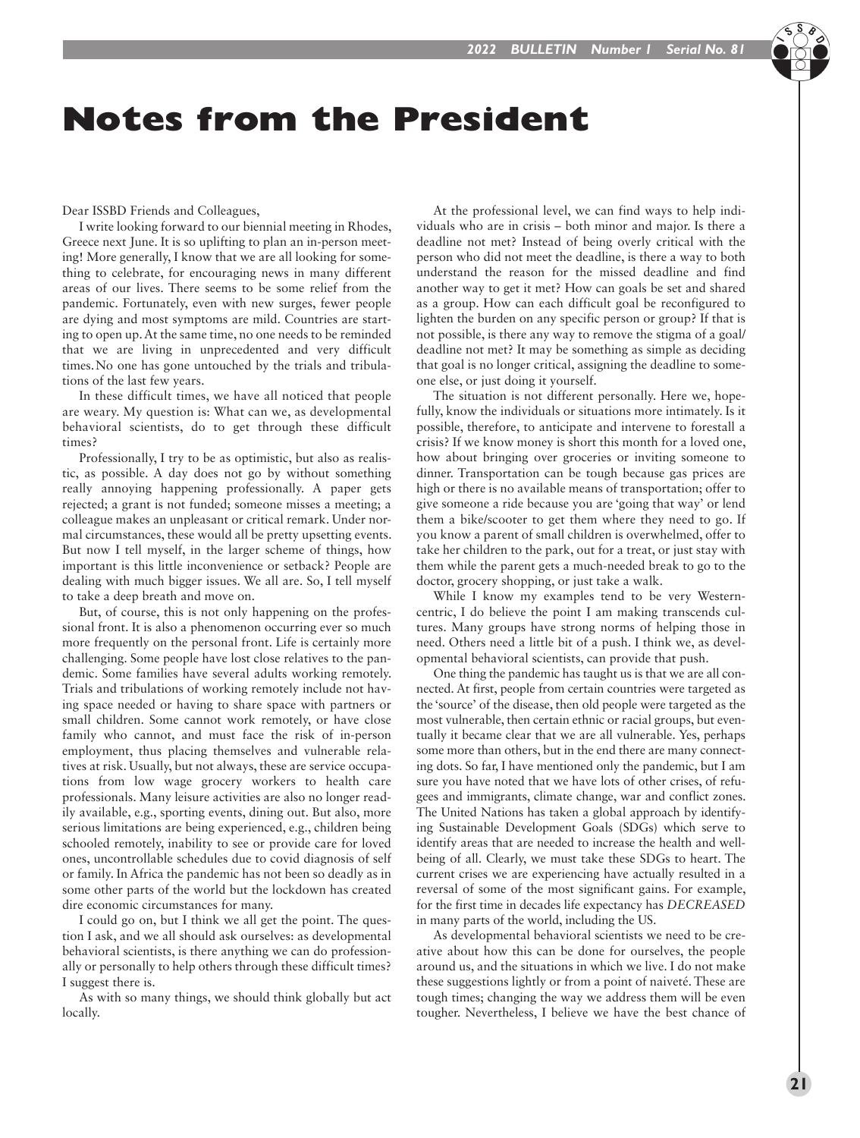## Notes from the President

Dear ISSBD Friends and Colleagues,

I write looking forward to our biennial meeting in Rhodes, Greece next June. It is so uplifting to plan an in-person meeting! More generally, I know that we are all looking for something to celebrate, for encouraging news in many different areas of our lives. There seems to be some relief from the pandemic. Fortunately, even with new surges, fewer people are dying and most symptoms are mild. Countries are starting to open up. At the same time, no one needs to be reminded that we are living in unprecedented and very difficult times.No one has gone untouched by the trials and tribulations of the last few years.

In these difficult times, we have all noticed that people are weary. My question is: What can we, as developmental behavioral scientists, do to get through these difficult times?

Professionally, I try to be as optimistic, but also as realistic, as possible. A day does not go by without something really annoying happening professionally. A paper gets rejected; a grant is not funded; someone misses a meeting; a colleague makes an unpleasant or critical remark. Under normal circumstances, these would all be pretty upsetting events. But now I tell myself, in the larger scheme of things, how important is this little inconvenience or setback? People are dealing with much bigger issues. We all are. So, I tell myself to take a deep breath and move on.

But, of course, this is not only happening on the professional front. It is also a phenomenon occurring ever so much more frequently on the personal front. Life is certainly more challenging. Some people have lost close relatives to the pandemic. Some families have several adults working remotely. Trials and tribulations of working remotely include not having space needed or having to share space with partners or small children. Some cannot work remotely, or have close family who cannot, and must face the risk of in-person employment, thus placing themselves and vulnerable relatives at risk. Usually, but not always, these are service occupations from low wage grocery workers to health care professionals. Many leisure activities are also no longer readily available, e.g., sporting events, dining out. But also, more serious limitations are being experienced, e.g., children being schooled remotely, inability to see or provide care for loved ones, uncontrollable schedules due to covid diagnosis of self or family. In Africa the pandemic has not been so deadly as in some other parts of the world but the lockdown has created dire economic circumstances for many.

I could go on, but I think we all get the point. The question I ask, and we all should ask ourselves: as developmental behavioral scientists, is there anything we can do professionally or personally to help others through these difficult times? I suggest there is.

As with so many things, we should think globally but act locally.

At the professional level, we can find ways to help individuals who are in crisis – both minor and major. Is there a deadline not met? Instead of being overly critical with the person who did not meet the deadline, is there a way to both understand the reason for the missed deadline and find another way to get it met? How can goals be set and shared as a group. How can each difficult goal be reconfigured to lighten the burden on any specific person or group? If that is not possible, is there any way to remove the stigma of a goal/ deadline not met? It may be something as simple as deciding that goal is no longer critical, assigning the deadline to someone else, or just doing it yourself.

The situation is not different personally. Here we, hopefully, know the individuals or situations more intimately. Is it possible, therefore, to anticipate and intervene to forestall a crisis? If we know money is short this month for a loved one, how about bringing over groceries or inviting someone to dinner. Transportation can be tough because gas prices are high or there is no available means of transportation; offer to give someone a ride because you are 'going that way' or lend them a bike/scooter to get them where they need to go. If you know a parent of small children is overwhelmed, offer to take her children to the park, out for a treat, or just stay with them while the parent gets a much-needed break to go to the doctor, grocery shopping, or just take a walk.

While I know my examples tend to be very Westerncentric, I do believe the point I am making transcends cultures. Many groups have strong norms of helping those in need. Others need a little bit of a push. I think we, as developmental behavioral scientists, can provide that push.

One thing the pandemic has taught us is that we are all connected. At first, people from certain countries were targeted as the 'source' of the disease, then old people were targeted as the most vulnerable, then certain ethnic or racial groups, but eventually it became clear that we are all vulnerable. Yes, perhaps some more than others, but in the end there are many connecting dots. So far, I have mentioned only the pandemic, but I am sure you have noted that we have lots of other crises, of refugees and immigrants, climate change, war and conflict zones. The United Nations has taken a global approach by identifying Sustainable Development Goals (SDGs) which serve to identify areas that are needed to increase the health and wellbeing of all. Clearly, we must take these SDGs to heart. The current crises we are experiencing have actually resulted in a reversal of some of the most significant gains. For example, for the first time in decades life expectancy has *DECREASED* in many parts of the world, including the US.

As developmental behavioral scientists we need to be creative about how this can be done for ourselves, the people around us, and the situations in which we live. I do not make these suggestions lightly or from a point of naiveté. These are tough times; changing the way we address them will be even tougher. Nevertheless, I believe we have the best chance of